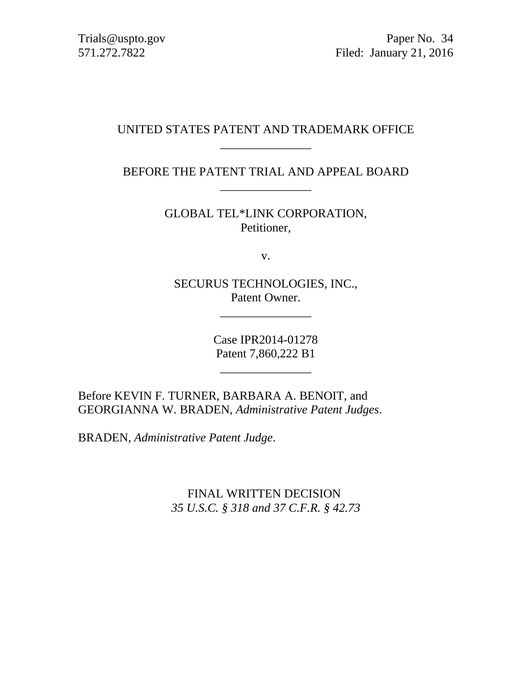Trials@uspto.gov Paper No. 34 571.272.7822 Filed: January 21, 2016

### UNITED STATES PATENT AND TRADEMARK OFFICE \_\_\_\_\_\_\_\_\_\_\_\_\_\_\_

BEFORE THE PATENT TRIAL AND APPEAL BOARD \_\_\_\_\_\_\_\_\_\_\_\_\_\_\_

> GLOBAL TEL\*LINK CORPORATION, Petitioner,

> > v.

SECURUS TECHNOLOGIES, INC., Patent Owner.

\_\_\_\_\_\_\_\_\_\_\_\_\_\_\_

Case IPR2014-01278 Patent 7,860,222 B1

 $\overline{\phantom{a}}$  , where the contract of the contract of the contract of the contract of the contract of the contract of the contract of the contract of the contract of the contract of the contract of the contract of the contr

Before KEVIN F. TURNER, BARBARA A. BENOIT, and GEORGIANNA W. BRADEN, *Administrative Patent Judges*.

BRADEN, *Administrative Patent Judge*.

FINAL WRITTEN DECISION *35 U.S.C. § 318 and 37 C.F.R. § 42.73*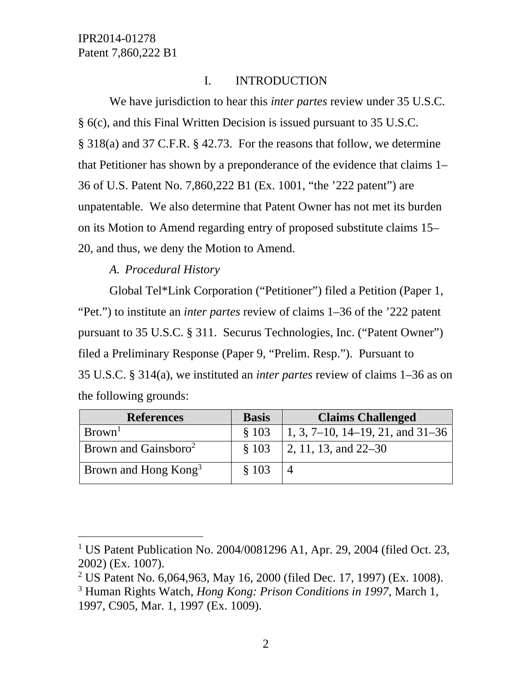## I. INTRODUCTION

We have jurisdiction to hear this *inter partes* review under 35 U.S.C. § 6(c), and this Final Written Decision is issued pursuant to 35 U.S.C. § 318(a) and 37 C.F.R. § 42.73. For the reasons that follow, we determine that Petitioner has shown by a preponderance of the evidence that claims 1– 36 of U.S. Patent No. 7,860,222 B1 (Ex. 1001, "the '222 patent") are unpatentable. We also determine that Patent Owner has not met its burden on its Motion to Amend regarding entry of proposed substitute claims 15– 20, and thus, we deny the Motion to Amend.

## *A. Procedural History*

l

Global Tel\*Link Corporation ("Petitioner") filed a Petition (Paper 1, "Pet.") to institute an *inter partes* review of claims 1–36 of the '222 patent pursuant to 35 U.S.C. § 311. Securus Technologies, Inc. ("Patent Owner") filed a Preliminary Response (Paper 9, "Prelim. Resp."). Pursuant to 35 U.S.C. § 314(a), we instituted an *inter partes* review of claims 1–36 as on the following grounds:

| <b>References</b>                | <b>Basis</b> | <b>Claims Challenged</b>                    |
|----------------------------------|--------------|---------------------------------------------|
| Brown <sup>1</sup>               | \$103        | 1, 3, 7–10, 14–19, 21, and $31–36$          |
| Brown and Gainsboro <sup>2</sup> | \$103        | $\vert 2, 11, 13, \text{ and } 22-30 \vert$ |
| Brown and Hong $\text{Kong}^3$   | \$103        |                                             |

<sup>&</sup>lt;sup>1</sup> US Patent Publication No. 2004/0081296 A1, Apr. 29, 2004 (filed Oct. 23, 2002) (Ex. 1007).

<sup>&</sup>lt;sup>2</sup> US Patent No. 6,064,963, May 16, 2000 (filed Dec. 17, 1997) (Ex. 1008).

<sup>3</sup> Human Rights Watch, *Hong Kong: Prison Conditions in 1997,* March 1, 1997, C905, Mar. 1, 1997 (Ex. 1009).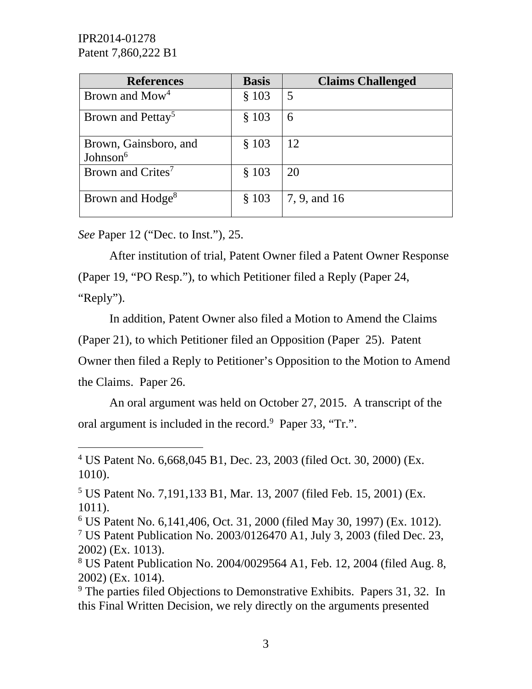| <b>References</b>                    | <b>Basis</b> | <b>Claims Challenged</b> |
|--------------------------------------|--------------|--------------------------|
| Brown and Mow <sup>4</sup>           | \$103        | 5                        |
| Brown and Pettay <sup>5</sup>        | \$103        | 6                        |
| Brown, Gainsboro, and<br>Johnson $6$ | \$103        | 12                       |
| Brown and Crites <sup>7</sup>        | \$103        | 20                       |
| Brown and Hodge <sup>8</sup>         | \$103        | 7, 9, and 16             |

*See* Paper 12 ("Dec. to Inst."), 25.

 $\overline{a}$ 

After institution of trial, Patent Owner filed a Patent Owner Response (Paper 19, "PO Resp."), to which Petitioner filed a Reply (Paper 24, "Reply").

In addition, Patent Owner also filed a Motion to Amend the Claims (Paper 21), to which Petitioner filed an Opposition (Paper 25). Patent Owner then filed a Reply to Petitioner's Opposition to the Motion to Amend the Claims. Paper 26.

An oral argument was held on October 27, 2015. A transcript of the oral argument is included in the record.<sup>9</sup> Paper 33, "Tr.".

<sup>4</sup> US Patent No. 6,668,045 B1, Dec. 23, 2003 (filed Oct. 30, 2000) (Ex. 1010).

<sup>5</sup> US Patent No. 7,191,133 B1, Mar. 13, 2007 (filed Feb. 15, 2001) (Ex. 1011).

<sup>6</sup> US Patent No. 6,141,406, Oct. 31, 2000 (filed May 30, 1997) (Ex. 1012). 7 US Patent Publication No. 2003/0126470 A1, July 3, 2003 (filed Dec. 23, 2002) (Ex. 1013).

<sup>8</sup> US Patent Publication No. 2004/0029564 A1, Feb. 12, 2004 (filed Aug. 8, 2002) (Ex. 1014).

<sup>&</sup>lt;sup>9</sup> The parties filed Objections to Demonstrative Exhibits. Papers 31, 32. In this Final Written Decision, we rely directly on the arguments presented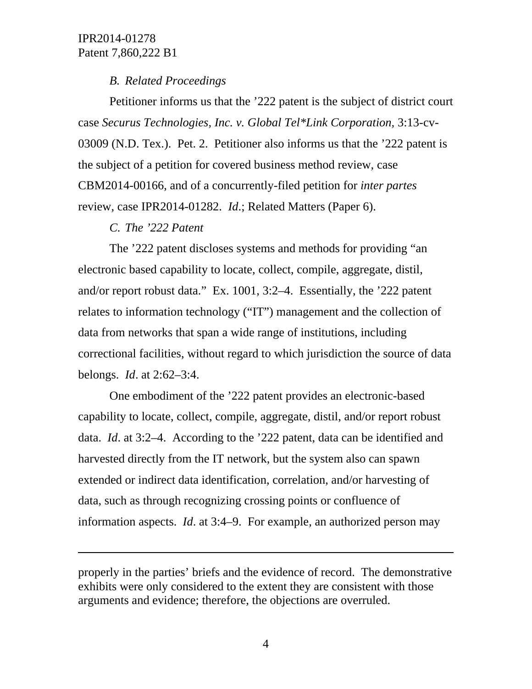## *B. Related Proceedings*

Petitioner informs us that the '222 patent is the subject of district court case *Securus Technologies, Inc. v. Global Tel\*Link Corporation,* 3:13-cv-03009 (N.D. Tex.). Pet. 2. Petitioner also informs us that the '222 patent is the subject of a petition for covered business method review, case CBM2014-00166, and of a concurrently-filed petition for *inter partes* review, case IPR2014-01282. *Id*.; Related Matters (Paper 6).

## *C. The '222 Patent*

 $\overline{a}$ 

The '222 patent discloses systems and methods for providing "an electronic based capability to locate, collect, compile, aggregate, distil, and/or report robust data." Ex. 1001, 3:2–4. Essentially, the '222 patent relates to information technology ("IT") management and the collection of data from networks that span a wide range of institutions, including correctional facilities, without regard to which jurisdiction the source of data belongs. *Id*. at 2:62–3:4.

One embodiment of the '222 patent provides an electronic-based capability to locate, collect, compile, aggregate, distil, and/or report robust data. *Id*. at 3:2–4. According to the '222 patent, data can be identified and harvested directly from the IT network, but the system also can spawn extended or indirect data identification, correlation, and/or harvesting of data, such as through recognizing crossing points or confluence of information aspects. *Id*. at 3:4–9. For example, an authorized person may

properly in the parties' briefs and the evidence of record. The demonstrative exhibits were only considered to the extent they are consistent with those arguments and evidence; therefore, the objections are overruled.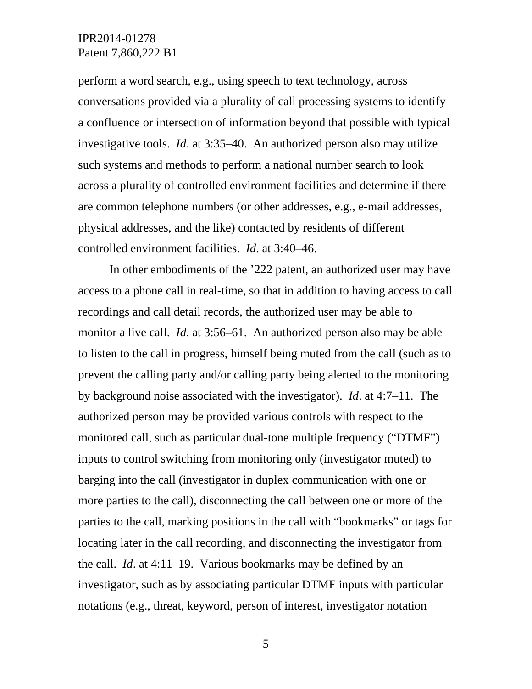perform a word search, e.g., using speech to text technology, across conversations provided via a plurality of call processing systems to identify a confluence or intersection of information beyond that possible with typical investigative tools. *Id*. at 3:35–40. An authorized person also may utilize such systems and methods to perform a national number search to look across a plurality of controlled environment facilities and determine if there are common telephone numbers (or other addresses, e.g., e-mail addresses, physical addresses, and the like) contacted by residents of different controlled environment facilities. *Id*. at 3:40–46.

In other embodiments of the '222 patent, an authorized user may have access to a phone call in real-time, so that in addition to having access to call recordings and call detail records, the authorized user may be able to monitor a live call. *Id*. at 3:56–61. An authorized person also may be able to listen to the call in progress, himself being muted from the call (such as to prevent the calling party and/or calling party being alerted to the monitoring by background noise associated with the investigator). *Id*. at 4:7–11. The authorized person may be provided various controls with respect to the monitored call, such as particular dual-tone multiple frequency ("DTMF") inputs to control switching from monitoring only (investigator muted) to barging into the call (investigator in duplex communication with one or more parties to the call), disconnecting the call between one or more of the parties to the call, marking positions in the call with "bookmarks" or tags for locating later in the call recording, and disconnecting the investigator from the call. *Id*. at 4:11–19. Various bookmarks may be defined by an investigator, such as by associating particular DTMF inputs with particular notations (e.g., threat, keyword, person of interest, investigator notation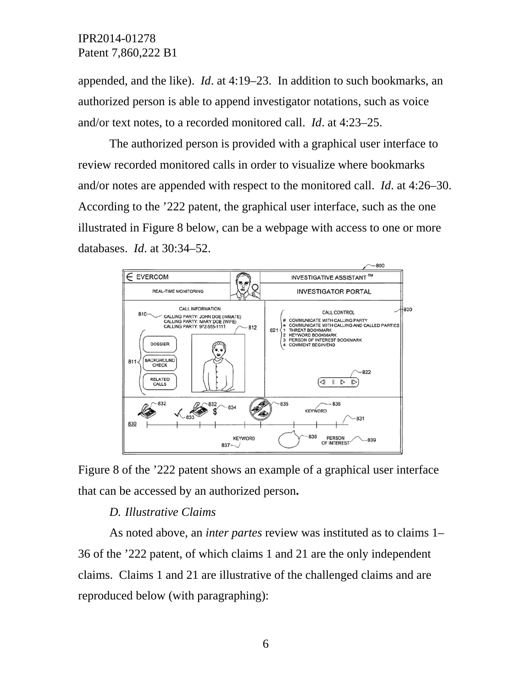appended, and the like). *Id*. at 4:19–23. In addition to such bookmarks, an authorized person is able to append investigator notations, such as voice and/or text notes, to a recorded monitored call. *Id*. at 4:23–25.

The authorized person is provided with a graphical user interface to review recorded monitored calls in order to visualize where bookmarks and/or notes are appended with respect to the monitored call. *Id*. at 4:26–30. According to the '222 patent, the graphical user interface, such as the one illustrated in Figure 8 below, can be a webpage with access to one or more databases. *Id*. at 30:34–52.





### *D. Illustrative Claims*

As noted above, an *inter partes* review was instituted as to claims 1– 36 of the '222 patent, of which claims 1 and 21 are the only independent claims. Claims 1 and 21 are illustrative of the challenged claims and are reproduced below (with paragraphing):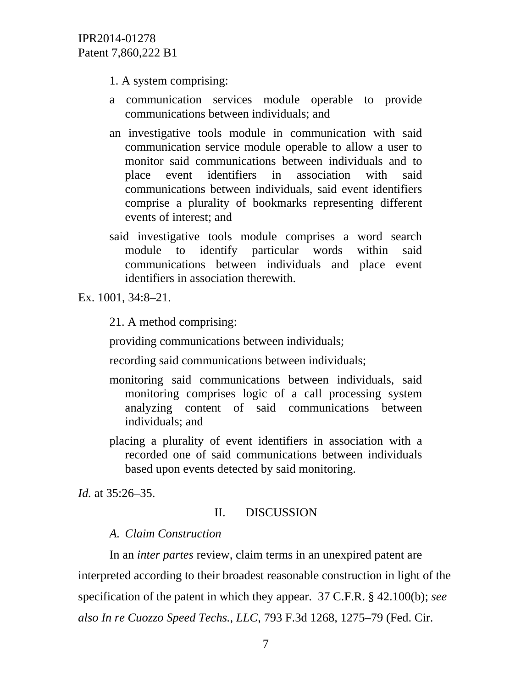- 1. A system comprising:
- a communication services module operable to provide communications between individuals; and
- an investigative tools module in communication with said communication service module operable to allow a user to monitor said communications between individuals and to place event identifiers in association with said communications between individuals, said event identifiers comprise a plurality of bookmarks representing different events of interest; and
- said investigative tools module comprises a word search module to identify particular words within said communications between individuals and place event identifiers in association therewith.

Ex. 1001, 34:8–21.

21. A method comprising:

providing communications between individuals;

recording said communications between individuals;

- monitoring said communications between individuals, said monitoring comprises logic of a call processing system analyzing content of said communications between individuals; and
- placing a plurality of event identifiers in association with a recorded one of said communications between individuals based upon events detected by said monitoring.

*Id.* at 35:26–35.

### II. DISCUSSION

### *A. Claim Construction*

In an *inter partes* review, claim terms in an unexpired patent are interpreted according to their broadest reasonable construction in light of the specification of the patent in which they appear. 37 C.F.R. § 42.100(b); *see also In re Cuozzo Speed Techs., LLC*, 793 F.3d 1268, 1275–79 (Fed. Cir.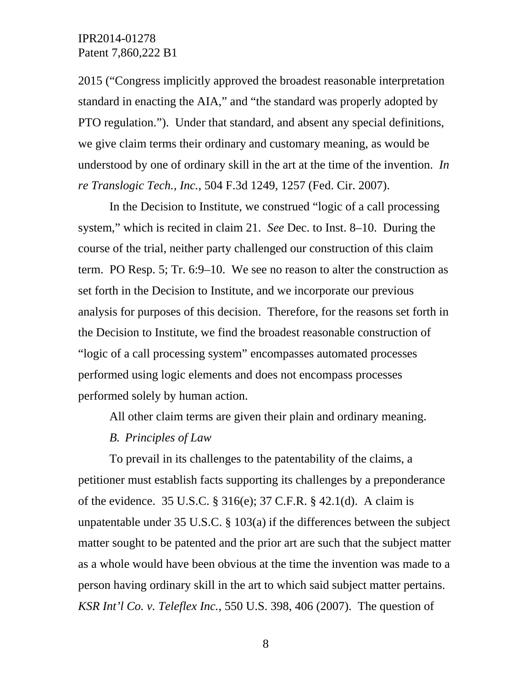2015 ("Congress implicitly approved the broadest reasonable interpretation standard in enacting the AIA," and "the standard was properly adopted by PTO regulation."). Under that standard, and absent any special definitions, we give claim terms their ordinary and customary meaning, as would be understood by one of ordinary skill in the art at the time of the invention. *In re Translogic Tech., Inc.*, 504 F.3d 1249, 1257 (Fed. Cir. 2007).

In the Decision to Institute, we construed "logic of a call processing system," which is recited in claim 21. *See* Dec. to Inst. 8–10. During the course of the trial, neither party challenged our construction of this claim term. PO Resp. 5; Tr. 6:9–10. We see no reason to alter the construction as set forth in the Decision to Institute, and we incorporate our previous analysis for purposes of this decision. Therefore, for the reasons set forth in the Decision to Institute, we find the broadest reasonable construction of "logic of a call processing system" encompasses automated processes performed using logic elements and does not encompass processes performed solely by human action.

All other claim terms are given their plain and ordinary meaning.

### *B. Principles of Law*

To prevail in its challenges to the patentability of the claims, a petitioner must establish facts supporting its challenges by a preponderance of the evidence. 35 U.S.C. § 316(e); 37 C.F.R. § 42.1(d). A claim is unpatentable under 35 U.S.C. § 103(a) if the differences between the subject matter sought to be patented and the prior art are such that the subject matter as a whole would have been obvious at the time the invention was made to a person having ordinary skill in the art to which said subject matter pertains. *KSR Int'l Co. v. Teleflex Inc.*, 550 U.S. 398, 406 (2007). The question of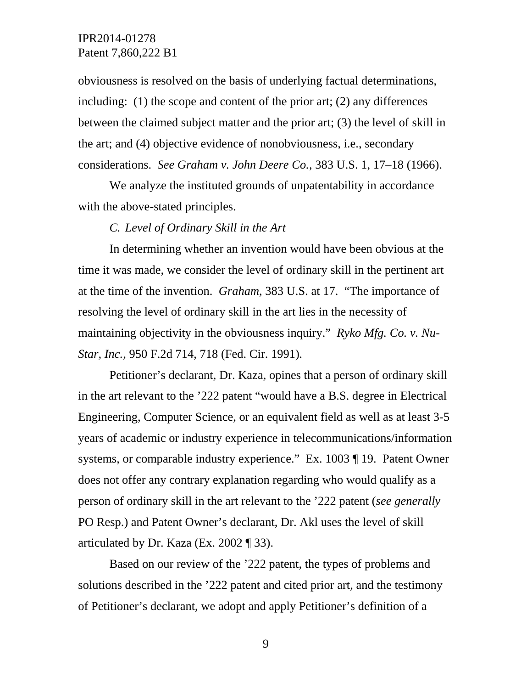obviousness is resolved on the basis of underlying factual determinations, including: (1) the scope and content of the prior art; (2) any differences between the claimed subject matter and the prior art; (3) the level of skill in the art; and (4) objective evidence of nonobviousness, i.e., secondary considerations. *See Graham v. John Deere Co.*, 383 U.S. 1, 17–18 (1966).

We analyze the instituted grounds of unpatentability in accordance with the above-stated principles.

#### *C. Level of Ordinary Skill in the Art*

In determining whether an invention would have been obvious at the time it was made, we consider the level of ordinary skill in the pertinent art at the time of the invention. *Graham*, 383 U.S. at 17. "The importance of resolving the level of ordinary skill in the art lies in the necessity of maintaining objectivity in the obviousness inquiry." *Ryko Mfg. Co. v. Nu-Star, Inc.*, 950 F.2d 714, 718 (Fed. Cir. 1991)*.* 

Petitioner's declarant, Dr. Kaza, opines that a person of ordinary skill in the art relevant to the '222 patent "would have a B.S. degree in Electrical Engineering, Computer Science, or an equivalent field as well as at least 3-5 years of academic or industry experience in telecommunications/information systems, or comparable industry experience." Ex. 1003 ¶ 19. Patent Owner does not offer any contrary explanation regarding who would qualify as a person of ordinary skill in the art relevant to the '222 patent (*see generally* PO Resp.) and Patent Owner's declarant, Dr. Akl uses the level of skill articulated by Dr. Kaza (Ex. 2002 ¶ 33).

Based on our review of the '222 patent, the types of problems and solutions described in the '222 patent and cited prior art, and the testimony of Petitioner's declarant, we adopt and apply Petitioner's definition of a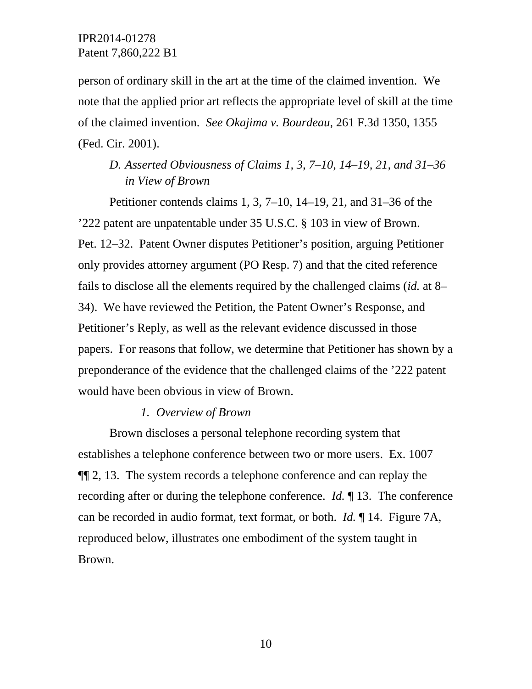person of ordinary skill in the art at the time of the claimed invention. We note that the applied prior art reflects the appropriate level of skill at the time of the claimed invention. *See Okajima v. Bourdeau,* 261 F.3d 1350, 1355 (Fed. Cir. 2001).

## *D. Asserted Obviousness of Claims 1, 3, 7–10, 14–19, 21, and 31–36 in View of Brown*

Petitioner contends claims 1, 3, 7–10, 14–19, 21, and 31–36 of the '222 patent are unpatentable under 35 U.S.C. § 103 in view of Brown. Pet. 12–32. Patent Owner disputes Petitioner's position, arguing Petitioner only provides attorney argument (PO Resp. 7) and that the cited reference fails to disclose all the elements required by the challenged claims (*id.* at 8– 34). We have reviewed the Petition, the Patent Owner's Response, and Petitioner's Reply, as well as the relevant evidence discussed in those papers. For reasons that follow, we determine that Petitioner has shown by a preponderance of the evidence that the challenged claims of the '222 patent would have been obvious in view of Brown.

### *1. Overview of Brown*

Brown discloses a personal telephone recording system that establishes a telephone conference between two or more users. Ex. 1007 ¶¶ 2, 13. The system records a telephone conference and can replay the recording after or during the telephone conference. *Id.* ¶ 13. The conference can be recorded in audio format, text format, or both. *Id.* ¶ 14. Figure 7A, reproduced below, illustrates one embodiment of the system taught in Brown.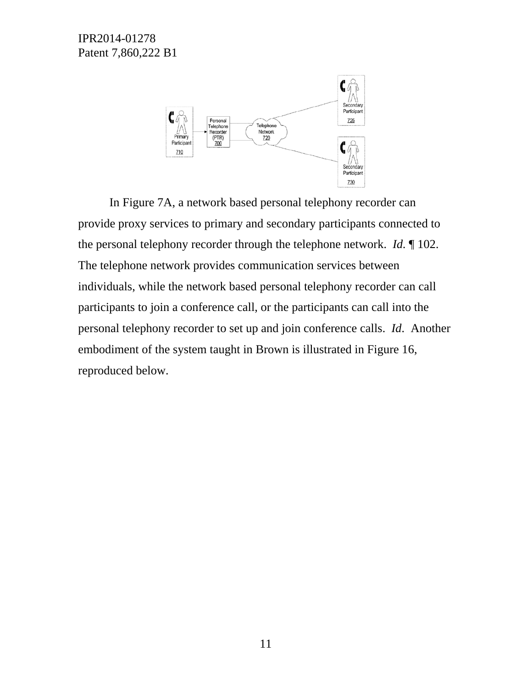

 In Figure 7A, a network based personal telephony recorder can provide proxy services to primary and secondary participants connected to the personal telephony recorder through the telephone network. *Id.* ¶ 102. The telephone network provides communication services between individuals, while the network based personal telephony recorder can call participants to join a conference call, or the participants can call into the personal telephony recorder to set up and join conference calls. *Id*. Another embodiment of the system taught in Brown is illustrated in Figure 16, reproduced below.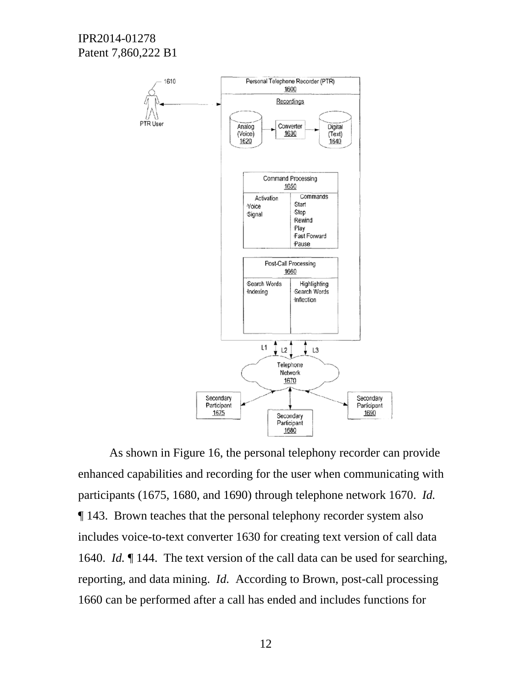

As shown in Figure 16, the personal telephony recorder can provide enhanced capabilities and recording for the user when communicating with participants (1675, 1680, and 1690) through telephone network 1670. *Id.* ¶ 143. Brown teaches that the personal telephony recorder system also includes voice-to-text converter 1630 for creating text version of call data 1640. *Id.* ¶ 144. The text version of the call data can be used for searching, reporting, and data mining. *Id.* According to Brown, post-call processing 1660 can be performed after a call has ended and includes functions for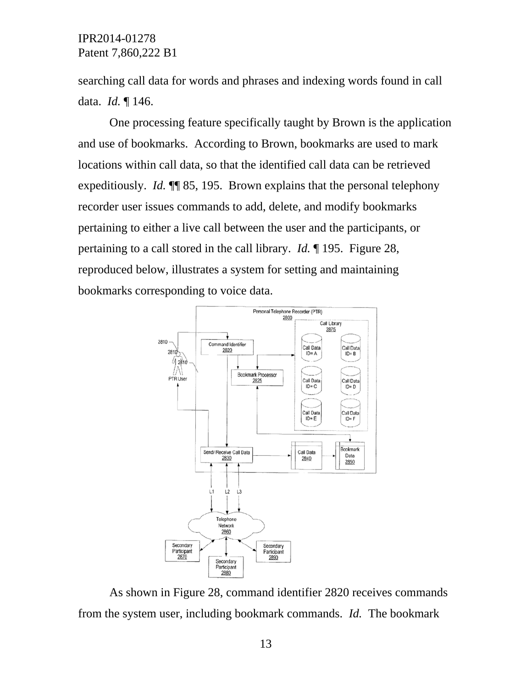searching call data for words and phrases and indexing words found in call data. *Id.* ¶ 146.

One processing feature specifically taught by Brown is the application and use of bookmarks. According to Brown, bookmarks are used to mark locations within call data, so that the identified call data can be retrieved expeditiously. *Id.* ¶¶ 85, 195. Brown explains that the personal telephony recorder user issues commands to add, delete, and modify bookmarks pertaining to either a live call between the user and the participants, or pertaining to a call stored in the call library. *Id.* ¶ 195. Figure 28, reproduced below, illustrates a system for setting and maintaining bookmarks corresponding to voice data.



As shown in Figure 28, command identifier 2820 receives commands from the system user, including bookmark commands. *Id.* The bookmark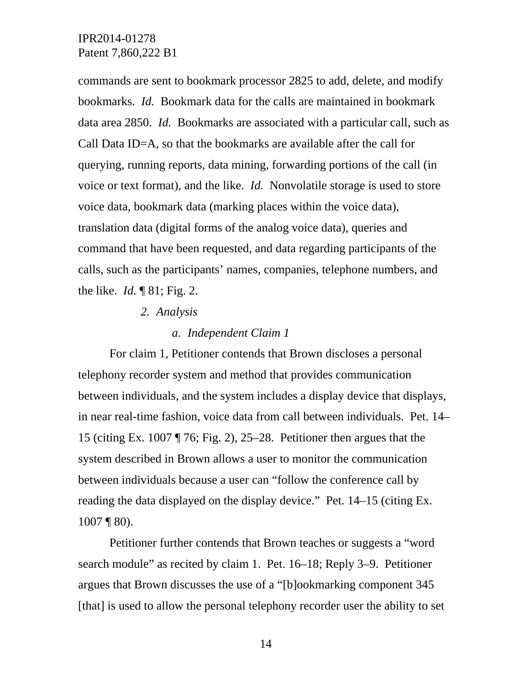commands are sent to bookmark processor 2825 to add, delete, and modify bookmarks. *Id.* Bookmark data for the calls are maintained in bookmark data area 2850. *Id.* Bookmarks are associated with a particular call, such as Call Data ID=A, so that the bookmarks are available after the call for querying, running reports, data mining, forwarding portions of the call (in voice or text format), and the like. *Id.* Nonvolatile storage is used to store voice data, bookmark data (marking places within the voice data), translation data (digital forms of the analog voice data), queries and command that have been requested, and data regarding participants of the calls, such as the participants' names, companies, telephone numbers, and the like. *Id.* ¶ 81; Fig. 2.

#### *2. Analysis*

### *a. Independent Claim 1*

For claim 1, Petitioner contends that Brown discloses a personal telephony recorder system and method that provides communication between individuals, and the system includes a display device that displays, in near real-time fashion, voice data from call between individuals. Pet. 14– 15 (citing Ex. 1007 ¶ 76; Fig. 2), 25–28. Petitioner then argues that the system described in Brown allows a user to monitor the communication between individuals because a user can "follow the conference call by reading the data displayed on the display device." Pet. 14–15 (citing Ex. 1007 ¶ 80).

Petitioner further contends that Brown teaches or suggests a "word search module" as recited by claim 1. Pet. 16–18; Reply 3–9. Petitioner argues that Brown discusses the use of a "[b]ookmarking component 345 [that] is used to allow the personal telephony recorder user the ability to set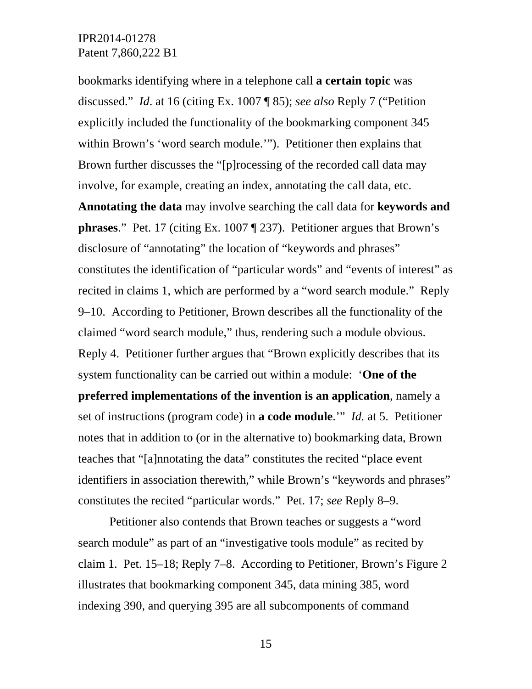bookmarks identifying where in a telephone call **a certain topic** was discussed." *Id*. at 16 (citing Ex. 1007 ¶ 85); *see also* Reply 7 ("Petition explicitly included the functionality of the bookmarking component 345 within Brown's 'word search module.'"). Petitioner then explains that Brown further discusses the "[p]rocessing of the recorded call data may involve, for example, creating an index, annotating the call data, etc.

**Annotating the data** may involve searching the call data for **keywords and phrases**." Pet. 17 (citing Ex. 1007 ¶ 237). Petitioner argues that Brown's disclosure of "annotating" the location of "keywords and phrases" constitutes the identification of "particular words" and "events of interest" as recited in claims 1, which are performed by a "word search module." Reply 9–10. According to Petitioner, Brown describes all the functionality of the claimed "word search module," thus, rendering such a module obvious. Reply 4. Petitioner further argues that "Brown explicitly describes that its system functionality can be carried out within a module: '**One of the preferred implementations of the invention is an application**, namely a set of instructions (program code) in **a code module**.'" *Id.* at 5. Petitioner notes that in addition to (or in the alternative to) bookmarking data, Brown teaches that "[a]nnotating the data" constitutes the recited "place event identifiers in association therewith," while Brown's "keywords and phrases" constitutes the recited "particular words." Pet. 17; *see* Reply 8–9.

Petitioner also contends that Brown teaches or suggests a "word search module" as part of an "investigative tools module" as recited by claim 1. Pet. 15–18; Reply 7–8. According to Petitioner, Brown's Figure 2 illustrates that bookmarking component 345, data mining 385, word indexing 390, and querying 395 are all subcomponents of command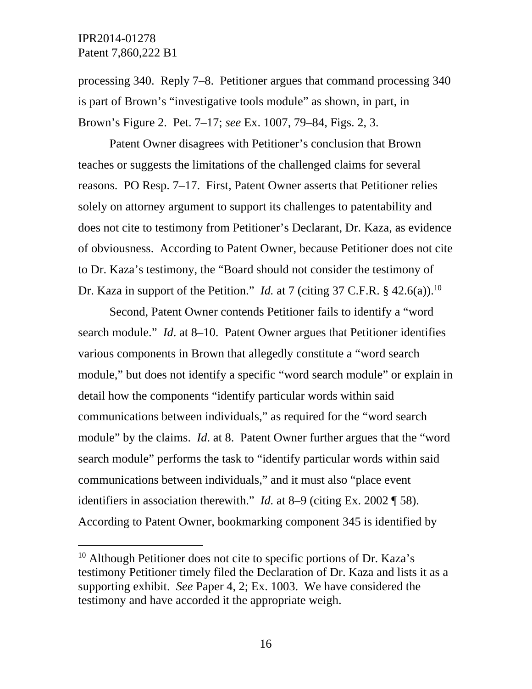l

processing 340. Reply 7–8. Petitioner argues that command processing 340 is part of Brown's "investigative tools module" as shown, in part, in Brown's Figure 2. Pet. 7–17; *see* Ex. 1007, 79–84, Figs. 2, 3.

Patent Owner disagrees with Petitioner's conclusion that Brown teaches or suggests the limitations of the challenged claims for several reasons. PO Resp. 7–17. First, Patent Owner asserts that Petitioner relies solely on attorney argument to support its challenges to patentability and does not cite to testimony from Petitioner's Declarant, Dr. Kaza, as evidence of obviousness. According to Patent Owner, because Petitioner does not cite to Dr. Kaza's testimony, the "Board should not consider the testimony of Dr. Kaza in support of the Petition." *Id.* at 7 (citing 37 C.F.R.  $\S$  42.6(a)).<sup>10</sup>

Second, Patent Owner contends Petitioner fails to identify a "word search module." *Id*. at 8–10. Patent Owner argues that Petitioner identifies various components in Brown that allegedly constitute a "word search module," but does not identify a specific "word search module" or explain in detail how the components "identify particular words within said communications between individuals," as required for the "word search module" by the claims. *Id*. at 8. Patent Owner further argues that the "word search module" performs the task to "identify particular words within said communications between individuals," and it must also "place event identifiers in association therewith." *Id.* at 8–9 (citing Ex. 2002 ¶ 58). According to Patent Owner, bookmarking component 345 is identified by

 $10$  Although Petitioner does not cite to specific portions of Dr. Kaza's testimony Petitioner timely filed the Declaration of Dr. Kaza and lists it as a supporting exhibit. *See* Paper 4, 2; Ex. 1003. We have considered the testimony and have accorded it the appropriate weigh.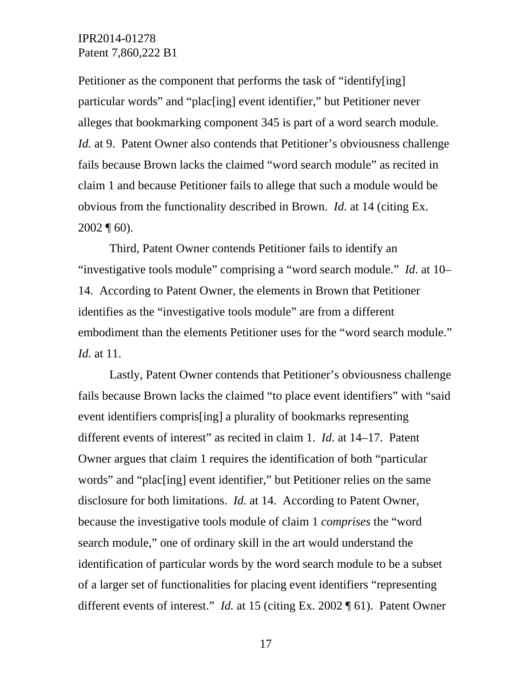Petitioner as the component that performs the task of "identify[ing] particular words" and "plac[ing] event identifier," but Petitioner never alleges that bookmarking component 345 is part of a word search module. *Id.* at 9. Patent Owner also contends that Petitioner's obviousness challenge fails because Brown lacks the claimed "word search module" as recited in claim 1 and because Petitioner fails to allege that such a module would be obvious from the functionality described in Brown. *Id*. at 14 (citing Ex.  $2002 \text{ } \sqrt{\ } 60$ ).

Third, Patent Owner contends Petitioner fails to identify an "investigative tools module" comprising a "word search module." *Id*. at 10– 14. According to Patent Owner, the elements in Brown that Petitioner identifies as the "investigative tools module" are from a different embodiment than the elements Petitioner uses for the "word search module." *Id.* at 11.

Lastly, Patent Owner contends that Petitioner's obviousness challenge fails because Brown lacks the claimed "to place event identifiers" with "said event identifiers compris[ing] a plurality of bookmarks representing different events of interest" as recited in claim 1. *Id*. at 14–17. Patent Owner argues that claim 1 requires the identification of both "particular words" and "plac[ing] event identifier," but Petitioner relies on the same disclosure for both limitations. *Id.* at 14. According to Patent Owner, because the investigative tools module of claim 1 *comprises* the "word search module," one of ordinary skill in the art would understand the identification of particular words by the word search module to be a subset of a larger set of functionalities for placing event identifiers "representing different events of interest." *Id.* at 15 (citing Ex. 2002 ¶ 61). Patent Owner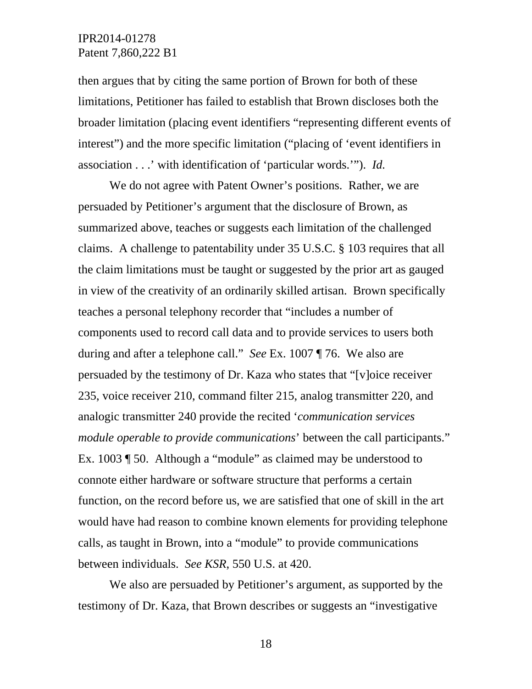then argues that by citing the same portion of Brown for both of these limitations, Petitioner has failed to establish that Brown discloses both the broader limitation (placing event identifiers "representing different events of interest") and the more specific limitation ("placing of 'event identifiers in association . . .' with identification of 'particular words.'"). *Id.*

We do not agree with Patent Owner's positions. Rather, we are persuaded by Petitioner's argument that the disclosure of Brown, as summarized above, teaches or suggests each limitation of the challenged claims. A challenge to patentability under 35 U.S.C. § 103 requires that all the claim limitations must be taught or suggested by the prior art as gauged in view of the creativity of an ordinarily skilled artisan. Brown specifically teaches a personal telephony recorder that "includes a number of components used to record call data and to provide services to users both during and after a telephone call." *See* Ex. 1007 ¶ 76. We also are persuaded by the testimony of Dr. Kaza who states that "[v]oice receiver 235, voice receiver 210, command filter 215, analog transmitter 220, and analogic transmitter 240 provide the recited '*communication services module operable to provide communications*' between the call participants." Ex. 1003 ¶ 50. Although a "module" as claimed may be understood to connote either hardware or software structure that performs a certain function, on the record before us, we are satisfied that one of skill in the art would have had reason to combine known elements for providing telephone calls, as taught in Brown, into a "module" to provide communications between individuals. *See KSR*, 550 U.S. at 420.

We also are persuaded by Petitioner's argument, as supported by the testimony of Dr. Kaza, that Brown describes or suggests an "investigative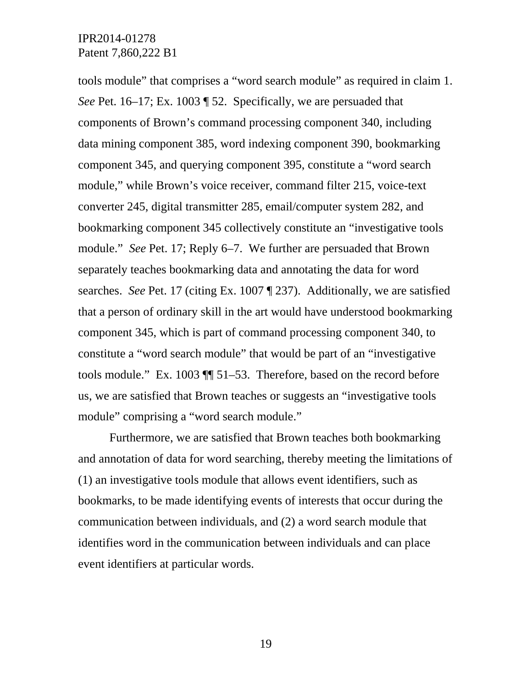tools module" that comprises a "word search module" as required in claim 1. *See* Pet. 16–17; Ex. 1003 ¶ 52. Specifically, we are persuaded that components of Brown's command processing component 340, including data mining component 385, word indexing component 390, bookmarking component 345, and querying component 395, constitute a "word search module," while Brown's voice receiver, command filter 215, voice-text converter 245, digital transmitter 285, email/computer system 282, and bookmarking component 345 collectively constitute an "investigative tools module." *See* Pet. 17; Reply 6–7. We further are persuaded that Brown separately teaches bookmarking data and annotating the data for word searches. *See* Pet. 17 (citing Ex. 1007 ¶ 237). Additionally, we are satisfied that a person of ordinary skill in the art would have understood bookmarking component 345, which is part of command processing component 340, to constitute a "word search module" that would be part of an "investigative tools module." Ex. 1003 ¶¶ 51–53. Therefore, based on the record before us, we are satisfied that Brown teaches or suggests an "investigative tools module" comprising a "word search module."

Furthermore, we are satisfied that Brown teaches both bookmarking and annotation of data for word searching, thereby meeting the limitations of (1) an investigative tools module that allows event identifiers, such as bookmarks, to be made identifying events of interests that occur during the communication between individuals, and (2) a word search module that identifies word in the communication between individuals and can place event identifiers at particular words.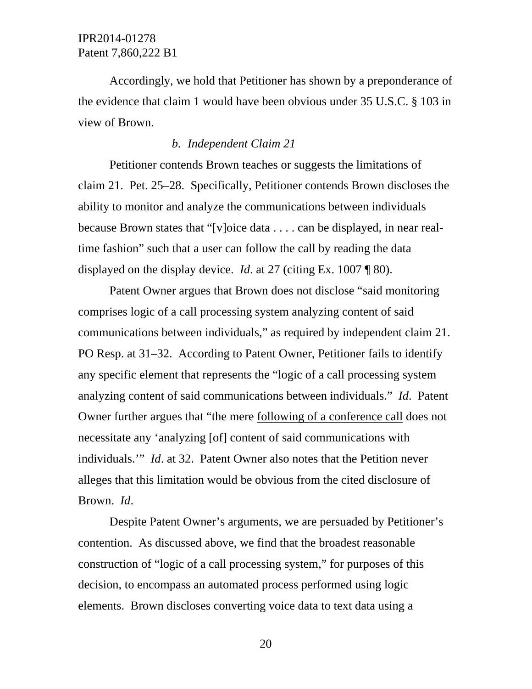Accordingly, we hold that Petitioner has shown by a preponderance of the evidence that claim 1 would have been obvious under 35 U.S.C. § 103 in view of Brown.

### *b. Independent Claim 21*

Petitioner contends Brown teaches or suggests the limitations of claim 21. Pet. 25–28. Specifically, Petitioner contends Brown discloses the ability to monitor and analyze the communications between individuals because Brown states that "[v]oice data . . . . can be displayed, in near realtime fashion" such that a user can follow the call by reading the data displayed on the display device. *Id*. at 27 (citing Ex. 1007 ¶ 80).

Patent Owner argues that Brown does not disclose "said monitoring comprises logic of a call processing system analyzing content of said communications between individuals," as required by independent claim 21. PO Resp. at 31–32. According to Patent Owner, Petitioner fails to identify any specific element that represents the "logic of a call processing system analyzing content of said communications between individuals." *Id*. Patent Owner further argues that "the mere following of a conference call does not necessitate any 'analyzing [of] content of said communications with individuals.'" *Id*. at 32. Patent Owner also notes that the Petition never alleges that this limitation would be obvious from the cited disclosure of Brown. *Id*.

Despite Patent Owner's arguments, we are persuaded by Petitioner's contention. As discussed above, we find that the broadest reasonable construction of "logic of a call processing system," for purposes of this decision, to encompass an automated process performed using logic elements. Brown discloses converting voice data to text data using a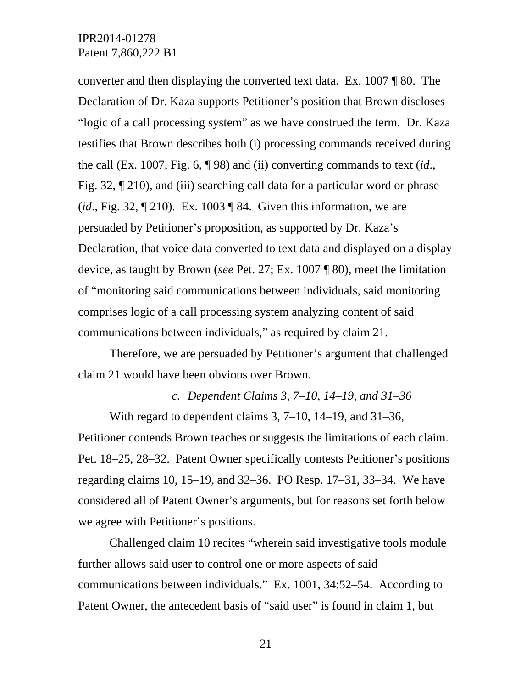converter and then displaying the converted text data. Ex. 1007 ¶ 80. The Declaration of Dr. Kaza supports Petitioner's position that Brown discloses "logic of a call processing system" as we have construed the term. Dr. Kaza testifies that Brown describes both (i) processing commands received during the call (Ex. 1007, Fig. 6, ¶ 98) and (ii) converting commands to text (*id*., Fig. 32, ¶ 210), and (iii) searching call data for a particular word or phrase (*id*., Fig. 32, ¶ 210). Ex. 1003 ¶ 84. Given this information, we are persuaded by Petitioner's proposition, as supported by Dr. Kaza's Declaration, that voice data converted to text data and displayed on a display device, as taught by Brown (*see* Pet. 27; Ex. 1007 ¶ 80), meet the limitation of "monitoring said communications between individuals, said monitoring comprises logic of a call processing system analyzing content of said communications between individuals," as required by claim 21.

Therefore, we are persuaded by Petitioner's argument that challenged claim 21 would have been obvious over Brown.

*c. Dependent Claims 3, 7–10, 14–19, and 31–36* 

With regard to dependent claims 3, 7–10, 14–19, and 31–36, Petitioner contends Brown teaches or suggests the limitations of each claim. Pet. 18–25, 28–32. Patent Owner specifically contests Petitioner's positions regarding claims 10, 15–19, and 32–36. PO Resp. 17–31, 33–34. We have considered all of Patent Owner's arguments, but for reasons set forth below we agree with Petitioner's positions.

Challenged claim 10 recites "wherein said investigative tools module further allows said user to control one or more aspects of said communications between individuals." Ex. 1001, 34:52–54. According to Patent Owner, the antecedent basis of "said user" is found in claim 1, but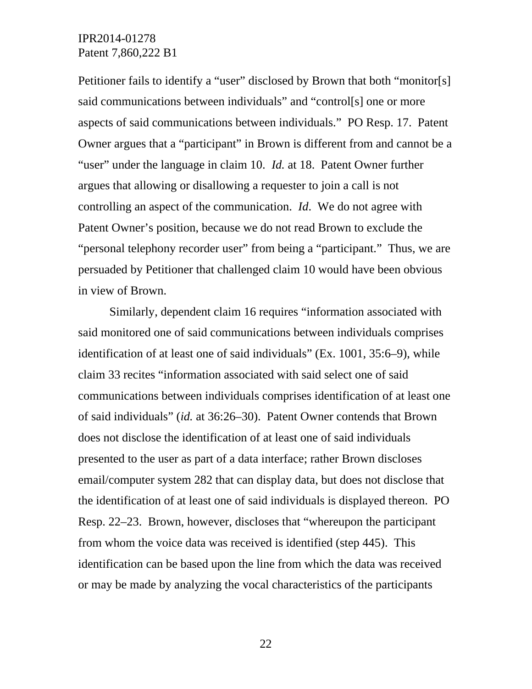Petitioner fails to identify a "user" disclosed by Brown that both "monitor[s] said communications between individuals" and "control[s] one or more aspects of said communications between individuals." PO Resp. 17. Patent Owner argues that a "participant" in Brown is different from and cannot be a "user" under the language in claim 10. *Id.* at 18. Patent Owner further argues that allowing or disallowing a requester to join a call is not controlling an aspect of the communication. *Id*. We do not agree with Patent Owner's position, because we do not read Brown to exclude the "personal telephony recorder user" from being a "participant." Thus, we are persuaded by Petitioner that challenged claim 10 would have been obvious in view of Brown.

Similarly, dependent claim 16 requires "information associated with said monitored one of said communications between individuals comprises identification of at least one of said individuals" (Ex. 1001, 35:6–9), while claim 33 recites "information associated with said select one of said communications between individuals comprises identification of at least one of said individuals" (*id.* at 36:26–30). Patent Owner contends that Brown does not disclose the identification of at least one of said individuals presented to the user as part of a data interface; rather Brown discloses email/computer system 282 that can display data, but does not disclose that the identification of at least one of said individuals is displayed thereon. PO Resp. 22–23. Brown, however, discloses that "whereupon the participant from whom the voice data was received is identified (step 445). This identification can be based upon the line from which the data was received or may be made by analyzing the vocal characteristics of the participants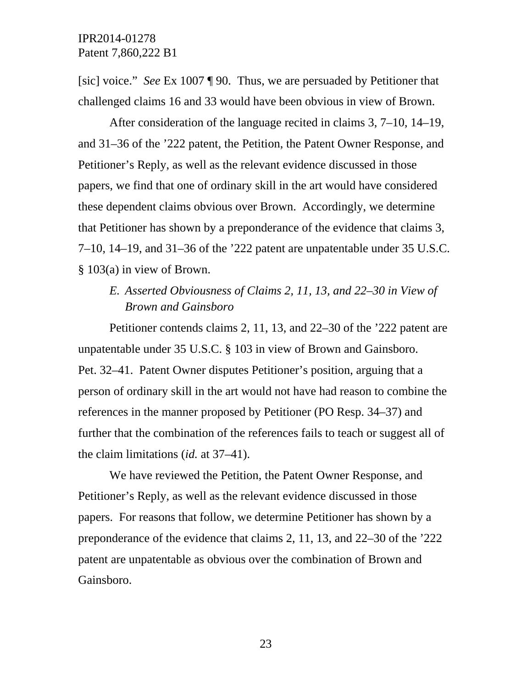[sic] voice." *See* Ex 1007 ¶ 90. Thus, we are persuaded by Petitioner that challenged claims 16 and 33 would have been obvious in view of Brown.

After consideration of the language recited in claims 3, 7–10, 14–19, and 31–36 of the '222 patent, the Petition, the Patent Owner Response, and Petitioner's Reply, as well as the relevant evidence discussed in those papers, we find that one of ordinary skill in the art would have considered these dependent claims obvious over Brown. Accordingly, we determine that Petitioner has shown by a preponderance of the evidence that claims 3, 7–10, 14–19, and 31–36 of the '222 patent are unpatentable under 35 U.S.C. § 103(a) in view of Brown.

## *E. Asserted Obviousness of Claims 2, 11, 13, and 22–30 in View of Brown and Gainsboro*

Petitioner contends claims 2, 11, 13, and 22–30 of the '222 patent are unpatentable under 35 U.S.C. § 103 in view of Brown and Gainsboro. Pet. 32–41. Patent Owner disputes Petitioner's position, arguing that a person of ordinary skill in the art would not have had reason to combine the references in the manner proposed by Petitioner (PO Resp. 34–37) and further that the combination of the references fails to teach or suggest all of the claim limitations (*id.* at 37–41).

We have reviewed the Petition, the Patent Owner Response, and Petitioner's Reply, as well as the relevant evidence discussed in those papers. For reasons that follow, we determine Petitioner has shown by a preponderance of the evidence that claims 2, 11, 13, and 22–30 of the '222 patent are unpatentable as obvious over the combination of Brown and Gainsboro.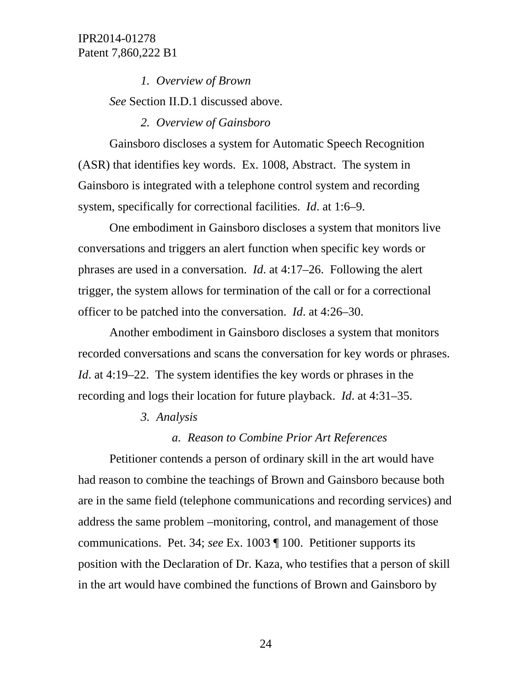> *1. Overview of Brown See* Section II.D.1 discussed above.

#### *2. Overview of Gainsboro*

Gainsboro discloses a system for Automatic Speech Recognition (ASR) that identifies key words. Ex. 1008, Abstract. The system in Gainsboro is integrated with a telephone control system and recording system, specifically for correctional facilities. *Id*. at 1:6–9.

One embodiment in Gainsboro discloses a system that monitors live conversations and triggers an alert function when specific key words or phrases are used in a conversation. *Id*. at 4:17–26. Following the alert trigger, the system allows for termination of the call or for a correctional officer to be patched into the conversation. *Id*. at 4:26–30.

Another embodiment in Gainsboro discloses a system that monitors recorded conversations and scans the conversation for key words or phrases. *Id*. at 4:19–22. The system identifies the key words or phrases in the recording and logs their location for future playback. *Id*. at 4:31–35.

#### *3. Analysis*

### *a. Reason to Combine Prior Art References*

Petitioner contends a person of ordinary skill in the art would have had reason to combine the teachings of Brown and Gainsboro because both are in the same field (telephone communications and recording services) and address the same problem –monitoring, control, and management of those communications. Pet. 34; *see* Ex. 1003 ¶ 100. Petitioner supports its position with the Declaration of Dr. Kaza, who testifies that a person of skill in the art would have combined the functions of Brown and Gainsboro by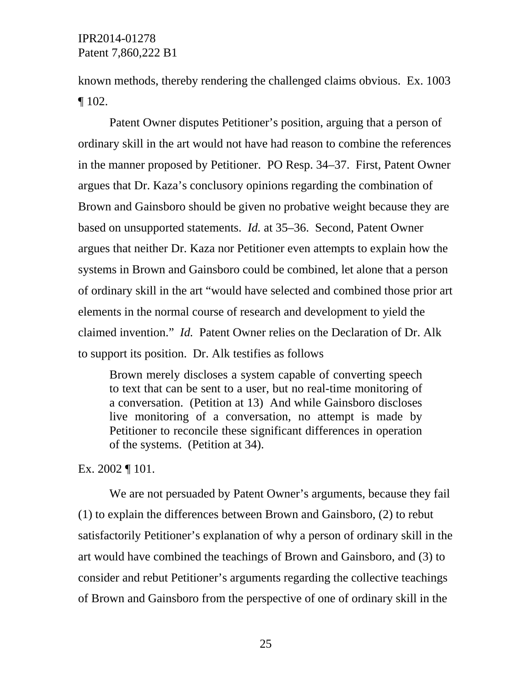known methods, thereby rendering the challenged claims obvious. Ex. 1003  $\P$  102.

Patent Owner disputes Petitioner's position, arguing that a person of ordinary skill in the art would not have had reason to combine the references in the manner proposed by Petitioner. PO Resp. 34–37. First, Patent Owner argues that Dr. Kaza's conclusory opinions regarding the combination of Brown and Gainsboro should be given no probative weight because they are based on unsupported statements. *Id.* at 35–36. Second, Patent Owner argues that neither Dr. Kaza nor Petitioner even attempts to explain how the systems in Brown and Gainsboro could be combined, let alone that a person of ordinary skill in the art "would have selected and combined those prior art elements in the normal course of research and development to yield the claimed invention." *Id.* Patent Owner relies on the Declaration of Dr. Alk to support its position. Dr. Alk testifies as follows

Brown merely discloses a system capable of converting speech to text that can be sent to a user, but no real-time monitoring of a conversation. (Petition at 13) And while Gainsboro discloses live monitoring of a conversation, no attempt is made by Petitioner to reconcile these significant differences in operation of the systems. (Petition at 34).

Ex. 2002 ¶ 101.

We are not persuaded by Patent Owner's arguments, because they fail (1) to explain the differences between Brown and Gainsboro, (2) to rebut satisfactorily Petitioner's explanation of why a person of ordinary skill in the art would have combined the teachings of Brown and Gainsboro, and (3) to consider and rebut Petitioner's arguments regarding the collective teachings of Brown and Gainsboro from the perspective of one of ordinary skill in the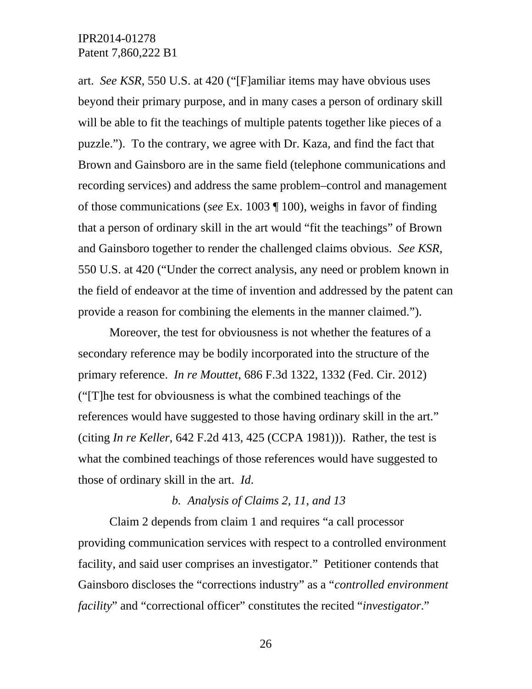art. *See KSR*, 550 U.S. at 420 ("[F]amiliar items may have obvious uses beyond their primary purpose, and in many cases a person of ordinary skill will be able to fit the teachings of multiple patents together like pieces of a puzzle."). To the contrary, we agree with Dr. Kaza, and find the fact that Brown and Gainsboro are in the same field (telephone communications and recording services) and address the same problem–control and management of those communications (*see* Ex. 1003 ¶ 100), weighs in favor of finding that a person of ordinary skill in the art would "fit the teachings" of Brown and Gainsboro together to render the challenged claims obvious. *See KSR*, 550 U.S. at 420 ("Under the correct analysis, any need or problem known in the field of endeavor at the time of invention and addressed by the patent can provide a reason for combining the elements in the manner claimed.").

Moreover, the test for obviousness is not whether the features of a secondary reference may be bodily incorporated into the structure of the primary reference. *In re Mouttet*, 686 F.3d 1322, 1332 (Fed. Cir. 2012) ("[T]he test for obviousness is what the combined teachings of the references would have suggested to those having ordinary skill in the art." (citing *In re Keller*, 642 F.2d 413, 425 (CCPA 1981))). Rather, the test is what the combined teachings of those references would have suggested to those of ordinary skill in the art. *Id*.

### *b. Analysis of Claims 2, 11, and 13*

Claim 2 depends from claim 1 and requires "a call processor providing communication services with respect to a controlled environment facility, and said user comprises an investigator." Petitioner contends that Gainsboro discloses the "corrections industry" as a "*controlled environment facility*" and "correctional officer" constitutes the recited "*investigator*."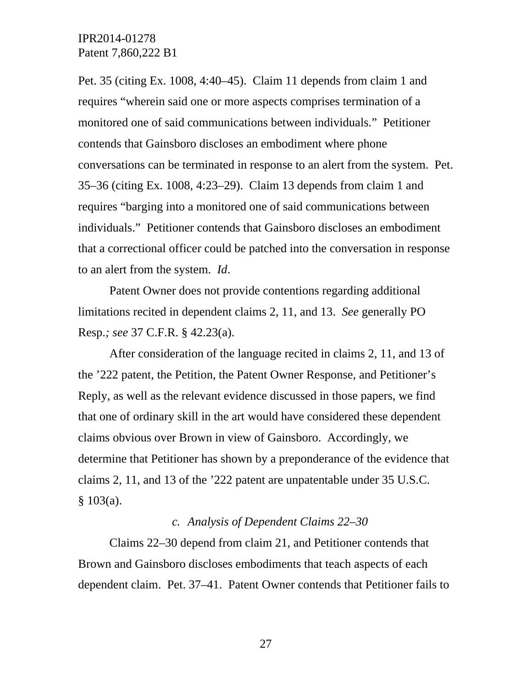Pet. 35 (citing Ex. 1008, 4:40–45). Claim 11 depends from claim 1 and requires "wherein said one or more aspects comprises termination of a monitored one of said communications between individuals." Petitioner contends that Gainsboro discloses an embodiment where phone conversations can be terminated in response to an alert from the system. Pet. 35–36 (citing Ex. 1008, 4:23–29). Claim 13 depends from claim 1 and requires "barging into a monitored one of said communications between individuals." Petitioner contends that Gainsboro discloses an embodiment that a correctional officer could be patched into the conversation in response to an alert from the system. *Id*.

Patent Owner does not provide contentions regarding additional limitations recited in dependent claims 2, 11, and 13. *See* generally PO Resp.*; see* 37 C.F.R. § 42.23(a).

After consideration of the language recited in claims 2, 11, and 13 of the '222 patent, the Petition, the Patent Owner Response, and Petitioner's Reply, as well as the relevant evidence discussed in those papers, we find that one of ordinary skill in the art would have considered these dependent claims obvious over Brown in view of Gainsboro. Accordingly, we determine that Petitioner has shown by a preponderance of the evidence that claims 2, 11, and 13 of the '222 patent are unpatentable under 35 U.S.C.  $§ 103(a).$ 

### *c. Analysis of Dependent Claims 22–30*

Claims 22–30 depend from claim 21, and Petitioner contends that Brown and Gainsboro discloses embodiments that teach aspects of each dependent claim. Pet. 37–41. Patent Owner contends that Petitioner fails to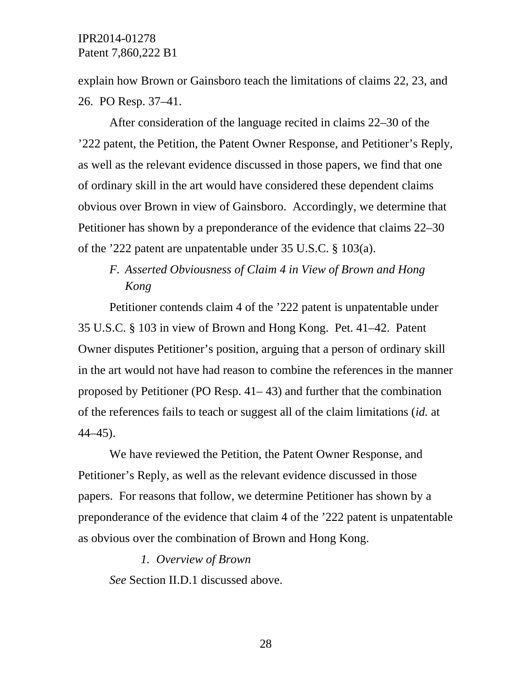explain how Brown or Gainsboro teach the limitations of claims 22, 23, and 26. PO Resp. 37–41.

After consideration of the language recited in claims 22–30 of the '222 patent, the Petition, the Patent Owner Response, and Petitioner's Reply, as well as the relevant evidence discussed in those papers, we find that one of ordinary skill in the art would have considered these dependent claims obvious over Brown in view of Gainsboro. Accordingly, we determine that Petitioner has shown by a preponderance of the evidence that claims 22–30 of the '222 patent are unpatentable under 35 U.S.C. § 103(a).

## *F. Asserted Obviousness of Claim 4 in View of Brown and Hong Kong*

Petitioner contends claim 4 of the '222 patent is unpatentable under 35 U.S.C. § 103 in view of Brown and Hong Kong. Pet. 41–42. Patent Owner disputes Petitioner's position, arguing that a person of ordinary skill in the art would not have had reason to combine the references in the manner proposed by Petitioner (PO Resp. 41– 43) and further that the combination of the references fails to teach or suggest all of the claim limitations (*id.* at 44–45).

We have reviewed the Petition, the Patent Owner Response, and Petitioner's Reply, as well as the relevant evidence discussed in those papers. For reasons that follow, we determine Petitioner has shown by a preponderance of the evidence that claim 4 of the '222 patent is unpatentable as obvious over the combination of Brown and Hong Kong.

### *1. Overview of Brown*

*See* Section II.D.1 discussed above.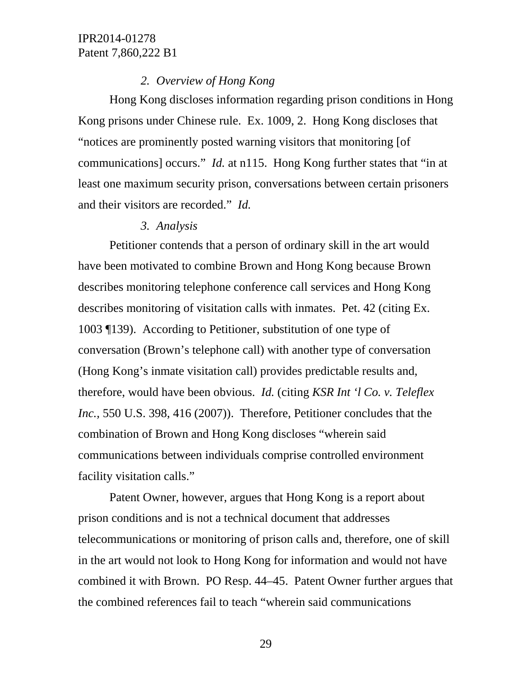### *2. Overview of Hong Kong*

Hong Kong discloses information regarding prison conditions in Hong Kong prisons under Chinese rule. Ex. 1009, 2. Hong Kong discloses that "notices are prominently posted warning visitors that monitoring [of communications] occurs." *Id.* at n115. Hong Kong further states that "in at least one maximum security prison, conversations between certain prisoners and their visitors are recorded." *Id.*

### *3. Analysis*

Petitioner contends that a person of ordinary skill in the art would have been motivated to combine Brown and Hong Kong because Brown describes monitoring telephone conference call services and Hong Kong describes monitoring of visitation calls with inmates. Pet. 42 (citing Ex. 1003 ¶139). According to Petitioner, substitution of one type of conversation (Brown's telephone call) with another type of conversation (Hong Kong's inmate visitation call) provides predictable results and, therefore, would have been obvious. *Id.* (citing *KSR Int 'l Co. v. Teleflex Inc.,* 550 U.S. 398, 416 (2007)). Therefore, Petitioner concludes that the combination of Brown and Hong Kong discloses "wherein said communications between individuals comprise controlled environment facility visitation calls."

Patent Owner, however, argues that Hong Kong is a report about prison conditions and is not a technical document that addresses telecommunications or monitoring of prison calls and, therefore, one of skill in the art would not look to Hong Kong for information and would not have combined it with Brown. PO Resp. 44–45. Patent Owner further argues that the combined references fail to teach "wherein said communications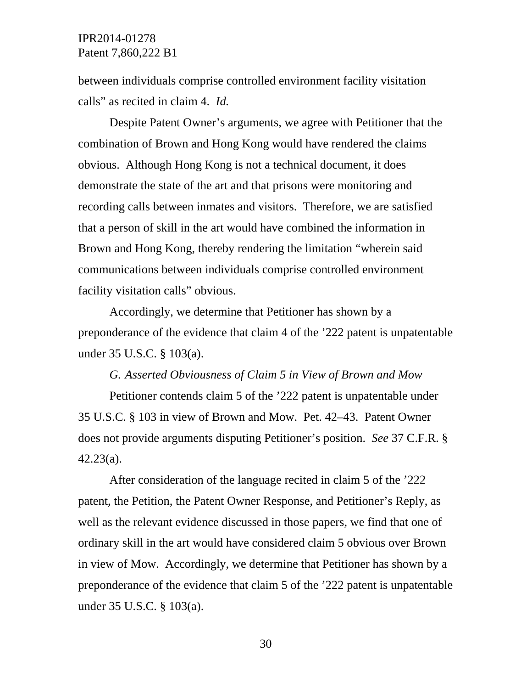between individuals comprise controlled environment facility visitation calls" as recited in claim 4. *Id.* 

Despite Patent Owner's arguments, we agree with Petitioner that the combination of Brown and Hong Kong would have rendered the claims obvious. Although Hong Kong is not a technical document, it does demonstrate the state of the art and that prisons were monitoring and recording calls between inmates and visitors. Therefore, we are satisfied that a person of skill in the art would have combined the information in Brown and Hong Kong, thereby rendering the limitation "wherein said communications between individuals comprise controlled environment facility visitation calls" obvious.

Accordingly, we determine that Petitioner has shown by a preponderance of the evidence that claim 4 of the '222 patent is unpatentable under 35 U.S.C. § 103(a).

*G. Asserted Obviousness of Claim 5 in View of Brown and Mow* 

Petitioner contends claim 5 of the '222 patent is unpatentable under 35 U.S.C. § 103 in view of Brown and Mow. Pet. 42–43. Patent Owner does not provide arguments disputing Petitioner's position. *See* 37 C.F.R. § 42.23(a).

After consideration of the language recited in claim 5 of the '222 patent, the Petition, the Patent Owner Response, and Petitioner's Reply, as well as the relevant evidence discussed in those papers, we find that one of ordinary skill in the art would have considered claim 5 obvious over Brown in view of Mow. Accordingly, we determine that Petitioner has shown by a preponderance of the evidence that claim 5 of the '222 patent is unpatentable under 35 U.S.C. § 103(a).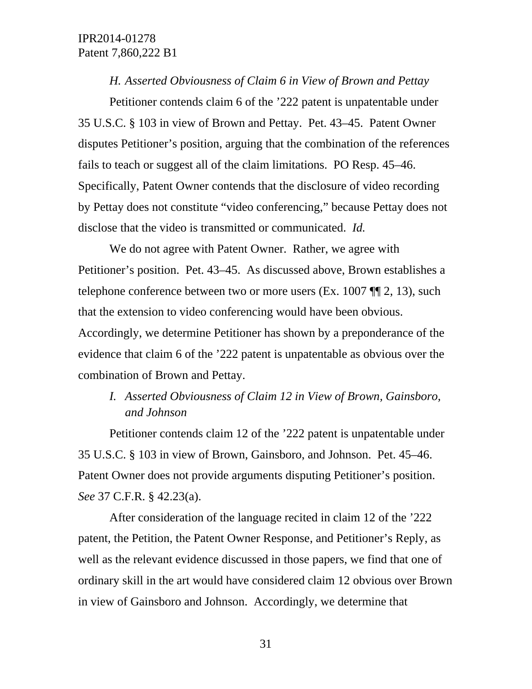*H. Asserted Obviousness of Claim 6 in View of Brown and Pettay* 

Petitioner contends claim 6 of the '222 patent is unpatentable under 35 U.S.C. § 103 in view of Brown and Pettay. Pet. 43–45. Patent Owner disputes Petitioner's position, arguing that the combination of the references fails to teach or suggest all of the claim limitations. PO Resp. 45–46. Specifically, Patent Owner contends that the disclosure of video recording by Pettay does not constitute "video conferencing," because Pettay does not disclose that the video is transmitted or communicated. *Id.*

We do not agree with Patent Owner. Rather, we agree with Petitioner's position. Pet. 43–45. As discussed above, Brown establishes a telephone conference between two or more users (Ex. 1007 ¶¶ 2, 13), such that the extension to video conferencing would have been obvious. Accordingly, we determine Petitioner has shown by a preponderance of the evidence that claim 6 of the '222 patent is unpatentable as obvious over the combination of Brown and Pettay.

## *I. Asserted Obviousness of Claim 12 in View of Brown, Gainsboro, and Johnson*

Petitioner contends claim 12 of the '222 patent is unpatentable under 35 U.S.C. § 103 in view of Brown, Gainsboro, and Johnson. Pet. 45–46. Patent Owner does not provide arguments disputing Petitioner's position. *See* 37 C.F.R. § 42.23(a).

After consideration of the language recited in claim 12 of the '222 patent, the Petition, the Patent Owner Response, and Petitioner's Reply, as well as the relevant evidence discussed in those papers, we find that one of ordinary skill in the art would have considered claim 12 obvious over Brown in view of Gainsboro and Johnson. Accordingly, we determine that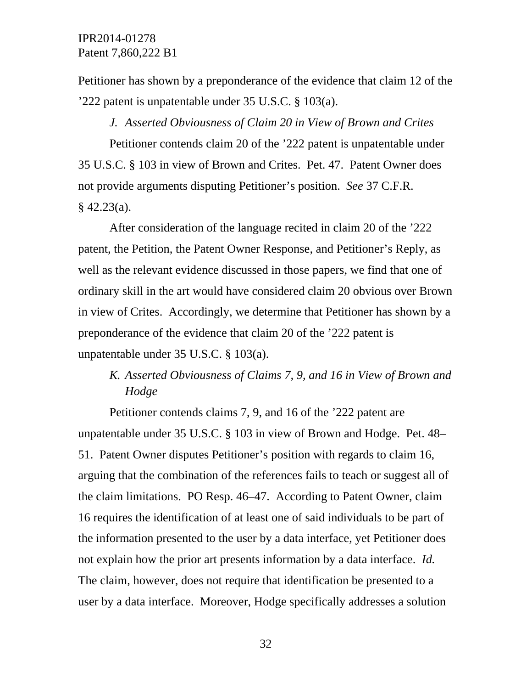Petitioner has shown by a preponderance of the evidence that claim 12 of the '222 patent is unpatentable under 35 U.S.C. § 103(a).

*J. Asserted Obviousness of Claim 20 in View of Brown and Crites* 

Petitioner contends claim 20 of the '222 patent is unpatentable under 35 U.S.C. § 103 in view of Brown and Crites. Pet. 47. Patent Owner does not provide arguments disputing Petitioner's position. *See* 37 C.F.R.  $§$  42.23(a).

After consideration of the language recited in claim 20 of the '222 patent, the Petition, the Patent Owner Response, and Petitioner's Reply, as well as the relevant evidence discussed in those papers, we find that one of ordinary skill in the art would have considered claim 20 obvious over Brown in view of Crites. Accordingly, we determine that Petitioner has shown by a preponderance of the evidence that claim 20 of the '222 patent is unpatentable under 35 U.S.C. § 103(a).

# *K. Asserted Obviousness of Claims 7, 9, and 16 in View of Brown and Hodge*

Petitioner contends claims 7, 9, and 16 of the '222 patent are unpatentable under 35 U.S.C. § 103 in view of Brown and Hodge. Pet. 48– 51. Patent Owner disputes Petitioner's position with regards to claim 16, arguing that the combination of the references fails to teach or suggest all of the claim limitations. PO Resp. 46–47. According to Patent Owner, claim 16 requires the identification of at least one of said individuals to be part of the information presented to the user by a data interface, yet Petitioner does not explain how the prior art presents information by a data interface. *Id.* The claim, however, does not require that identification be presented to a user by a data interface. Moreover, Hodge specifically addresses a solution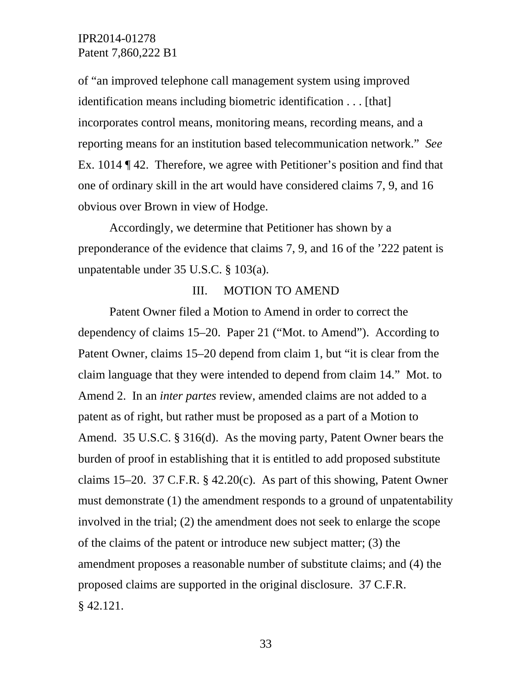of "an improved telephone call management system using improved identification means including biometric identification . . . [that] incorporates control means, monitoring means, recording means, and a reporting means for an institution based telecommunication network." *See* Ex. 1014 ¶ 42. Therefore, we agree with Petitioner's position and find that one of ordinary skill in the art would have considered claims 7, 9, and 16 obvious over Brown in view of Hodge.

Accordingly, we determine that Petitioner has shown by a preponderance of the evidence that claims 7, 9, and 16 of the '222 patent is unpatentable under 35 U.S.C. § 103(a).

#### III. MOTION TO AMEND

Patent Owner filed a Motion to Amend in order to correct the dependency of claims 15–20. Paper 21 ("Mot. to Amend"). According to Patent Owner, claims 15–20 depend from claim 1, but "it is clear from the claim language that they were intended to depend from claim 14." Mot. to Amend 2. In an *inter partes* review, amended claims are not added to a patent as of right, but rather must be proposed as a part of a Motion to Amend. 35 U.S.C. § 316(d). As the moving party, Patent Owner bears the burden of proof in establishing that it is entitled to add proposed substitute claims 15–20. 37 C.F.R. § 42.20(c). As part of this showing, Patent Owner must demonstrate (1) the amendment responds to a ground of unpatentability involved in the trial; (2) the amendment does not seek to enlarge the scope of the claims of the patent or introduce new subject matter; (3) the amendment proposes a reasonable number of substitute claims; and (4) the proposed claims are supported in the original disclosure. 37 C.F.R. § 42.121.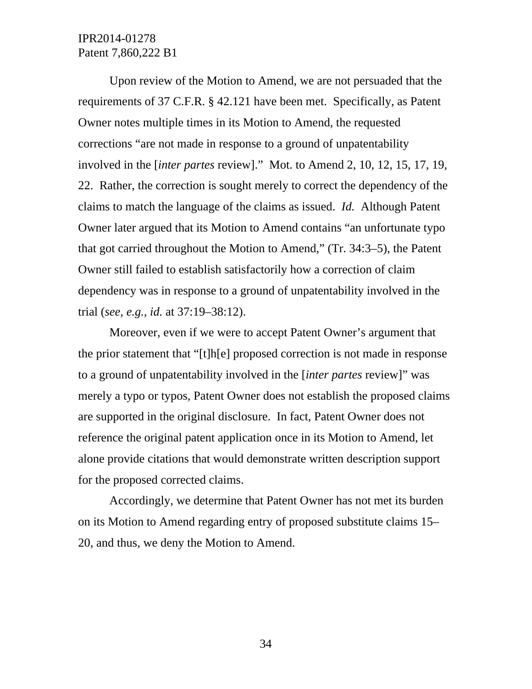Upon review of the Motion to Amend, we are not persuaded that the requirements of 37 C.F.R. § 42.121 have been met. Specifically, as Patent Owner notes multiple times in its Motion to Amend, the requested corrections "are not made in response to a ground of unpatentability involved in the [*inter partes* review]." Mot. to Amend 2, 10, 12, 15, 17, 19, 22. Rather, the correction is sought merely to correct the dependency of the claims to match the language of the claims as issued. *Id.* Although Patent Owner later argued that its Motion to Amend contains "an unfortunate typo that got carried throughout the Motion to Amend," (Tr. 34:3–5), the Patent Owner still failed to establish satisfactorily how a correction of claim dependency was in response to a ground of unpatentability involved in the trial (*see, e.g., id.* at 37:19–38:12).

Moreover, even if we were to accept Patent Owner's argument that the prior statement that "[t]h[e] proposed correction is not made in response to a ground of unpatentability involved in the [*inter partes* review]" was merely a typo or typos, Patent Owner does not establish the proposed claims are supported in the original disclosure. In fact, Patent Owner does not reference the original patent application once in its Motion to Amend, let alone provide citations that would demonstrate written description support for the proposed corrected claims.

Accordingly, we determine that Patent Owner has not met its burden on its Motion to Amend regarding entry of proposed substitute claims 15– 20, and thus, we deny the Motion to Amend.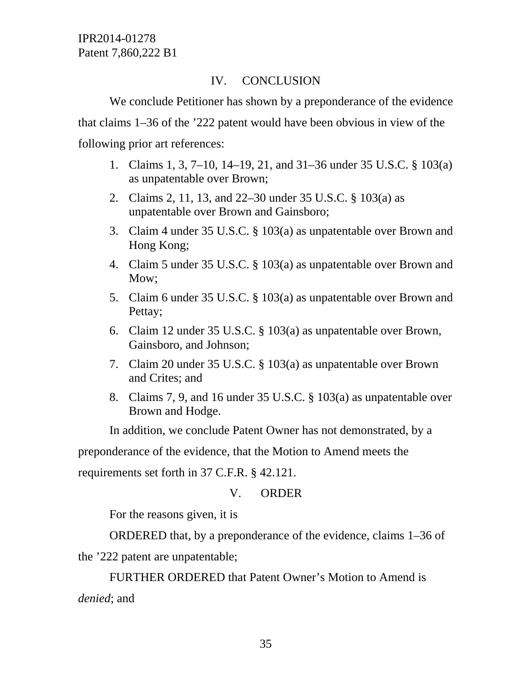## IV. CONCLUSION

We conclude Petitioner has shown by a preponderance of the evidence that claims 1–36 of the '222 patent would have been obvious in view of the following prior art references:

- 1. Claims 1, 3, 7–10, 14–19, 21, and 31–36 under 35 U.S.C. § 103(a) as unpatentable over Brown;
- 2. Claims 2, 11, 13, and 22–30 under 35 U.S.C. § 103(a) as unpatentable over Brown and Gainsboro;
- 3. Claim 4 under 35 U.S.C. § 103(a) as unpatentable over Brown and Hong Kong;
- 4. Claim 5 under 35 U.S.C. § 103(a) as unpatentable over Brown and Mow;
- 5. Claim 6 under 35 U.S.C. § 103(a) as unpatentable over Brown and Pettay;
- 6. Claim 12 under 35 U.S.C. § 103(a) as unpatentable over Brown, Gainsboro, and Johnson;
- 7. Claim 20 under 35 U.S.C. § 103(a) as unpatentable over Brown and Crites; and
- 8. Claims 7, 9, and 16 under 35 U.S.C. § 103(a) as unpatentable over Brown and Hodge.

In addition, we conclude Patent Owner has not demonstrated, by a

preponderance of the evidence, that the Motion to Amend meets the

requirements set forth in 37 C.F.R. § 42.121.

## V. ORDER

For the reasons given, it is

 ORDERED that, by a preponderance of the evidence, claims 1–36 of the '222 patent are unpatentable;

FURTHER ORDERED that Patent Owner's Motion to Amend is *denied*; and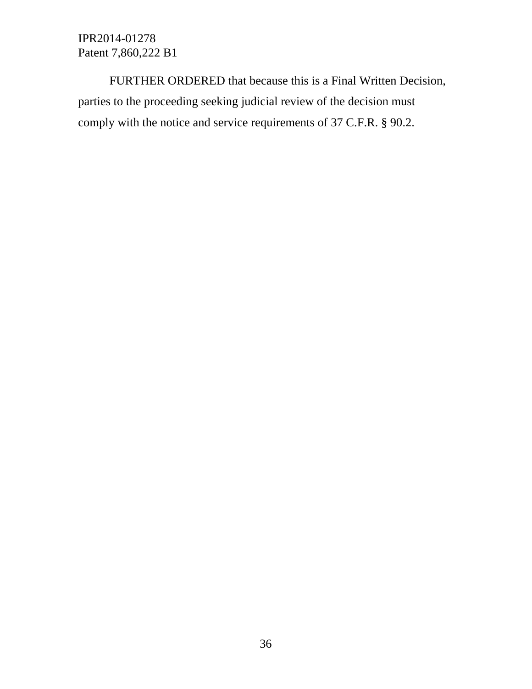FURTHER ORDERED that because this is a Final Written Decision, parties to the proceeding seeking judicial review of the decision must comply with the notice and service requirements of 37 C.F.R. § 90.2.